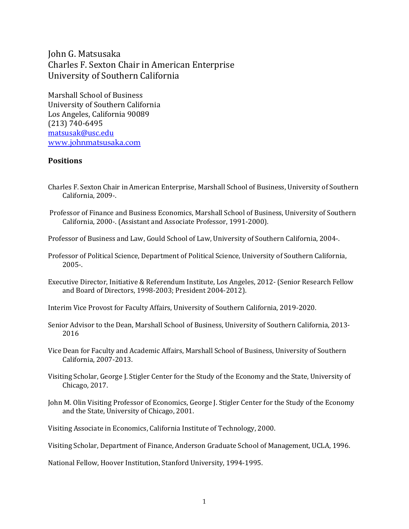John G. Matsusaka Charles F. Sexton Chair in American Enterprise University of Southern California

Marshall School of Business University of Southern California Los Angeles, California 90089 (213) 740-6495 [matsusak@usc.edu](mailto:matsusak@rcf.usc.edu) [www.johnmatsusaka.com](http://www.johnmatsusaka.com/)

### **Positions**

- Charles F. Sexton Chair in American Enterprise, Marshall School of Business, University of Southern California, 2009-.
- Professor of Finance and Business Economics, Marshall School of Business, University of Southern California, 2000-. (Assistant and Associate Professor, 1991-2000).
- Professor of Business and Law, Gould School of Law, University of Southern California, 2004-.
- Professor of Political Science, Department of Political Science, University of Southern California, 2005-.
- Executive Director, Initiative & Referendum Institute, Los Angeles, 2012- (Senior Research Fellow and Board of Directors, 1998-2003; President 2004-2012).

Interim Vice Provost for Faculty Affairs, University of Southern California, 2019-2020.

- Senior Advisor to the Dean, Marshall School of Business, University of Southern California, 2013- 2016
- Vice Dean for Faculty and Academic Affairs, Marshall School of Business, University of Southern California, 2007-2013.
- Visiting Scholar, George J. Stigler Center for the Study of the Economy and the State, University of Chicago, 2017.
- John M. Olin Visiting Professor of Economics, George J. Stigler Center for the Study of the Economy and the State, University of Chicago, 2001.

Visiting Associate in Economics, California Institute of Technology, 2000.

Visiting Scholar, Department of Finance, Anderson Graduate School of Management, UCLA, 1996.

National Fellow, Hoover Institution, Stanford University, 1994-1995.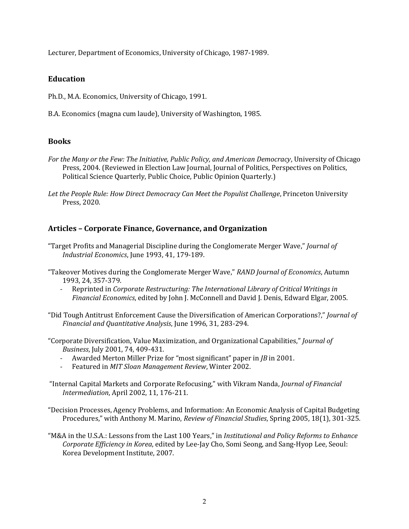Lecturer, Department of Economics, University of Chicago, 1987-1989.

## **Education**

Ph.D., M.A. Economics, University of Chicago, 1991.

B.A. Economics (magna cum laude), University of Washington, 1985.

## **Books**

*For the Many or the Few: The Initiative, Public Policy, and American Democracy*, University of Chicago Press, 2004. (Reviewed in Election Law Journal, Journal of Politics, Perspectives on Politics, Political Science Quarterly, Public Choice, Public Opinion Quarterly.)

*Let the People Rule: How Direct Democracy Can Meet the Populist Challenge*, Princeton University Press, 2020.

## **Articles – Corporate Finance, Governance, and Organization**

- "Target Profits and Managerial Discipline during the Conglomerate Merger Wave," *Journal of Industrial Economics*, June 1993, 41, 179-189.
- "Takeover Motives during the Conglomerate Merger Wave," *RAND Journal of Economics*, Autumn 1993, 24, 357-379.
	- Reprinted in *Corporate Restructuring: The International Library of Critical Writings in Financial Economics*, edited by John J. McConnell and David J. Denis, Edward Elgar, 2005.
- "Did Tough Antitrust Enforcement Cause the Diversification of American Corporations?," *Journal of Financial and Quantitative Analysis*, June 1996, 31, 283-294.
- "Corporate Diversification, Value Maximization, and Organizational Capabilities," *Journal of Business*, July 2001, 74, 409-431.
	- Awarded Merton Miller Prize for "most significant" paper in *JB* in 2001.
	- Featured in *MIT Sloan Management Review*, Winter 2002.
- "Internal Capital Markets and Corporate Refocusing," with Vikram Nanda, *Journal of Financial Intermediation*, April 2002, 11, 176-211.

"Decision Processes, Agency Problems, and Information: An Economic Analysis of Capital Budgeting Procedures," with Anthony M. Marino, *Review of Financial Studies*, Spring 2005, 18(1), 301-325.

"M&A in the U.S.A.: Lessons from the Last 100 Years," in *Institutional and Policy Reforms to Enhance Corporate Efficiency in Korea*, edited by Lee-Jay Cho, Somi Seong, and Sang-Hyop Lee, Seoul: Korea Development Institute, 2007.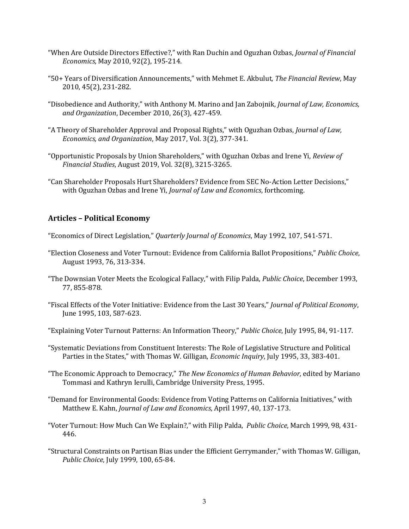- "When Are Outside Directors Effective?," with Ran Duchin and Oguzhan Ozbas, *Journal of Financial Economics*, May 2010, 92(2), 195-214.
- "50+ Years of Diversification Announcements," with Mehmet E. Akbulut, *The Financial Review*, May 2010, 45(2), 231-282.
- "Disobedience and Authority," with Anthony M. Marino and Jan Zabojnik, *Journal of Law, Economics, and Organization*, December 2010, 26(3), 427-459.
- "A Theory of Shareholder Approval and Proposal Rights," with Oguzhan Ozbas, *Journal of Law, Economics, and Organization*, May 2017, Vol. 3(2), 377-341.
- "Opportunistic Proposals by Union Shareholders," with Oguzhan Ozbas and Irene Yi, *Review of Financial Studies*, August 2019, Vol. 32(8), 3215-3265.
- "Can Shareholder Proposals Hurt Shareholders? Evidence from SEC No-Action Letter Decisions," with Oguzhan Ozbas and Irene Yi, *Journal of Law and Economics*, forthcoming.

## **Articles – Political Economy**

"Economics of Direct Legislation," *Quarterly Journal of Economics*, May 1992, 107, 541-571.

- "Election Closeness and Voter Turnout: Evidence from California Ballot Propositions," *Public Choice*, August 1993, 76, 313-334.
- "The Downsian Voter Meets the Ecological Fallacy," with Filip Palda, *Public Choice*, December 1993, 77, 855-878.
- "Fiscal Effects of the Voter Initiative: Evidence from the Last 30 Years," *Journal of Political Economy*, June 1995, 103, 587-623.
- "Explaining Voter Turnout Patterns: An Information Theory," *Public Choice*, July 1995, 84, 91-117.
- "Systematic Deviations from Constituent Interests: The Role of Legislative Structure and Political Parties in the States," with Thomas W. Gilligan, *Economic Inquiry*, July 1995, 33, 383-401.
- "The Economic Approach to Democracy," *The New Economics of Human Behavior,* edited by Mariano Tommasi and Kathryn Ierulli, Cambridge University Press, 1995.
- "Demand for Environmental Goods: Evidence from Voting Patterns on California Initiatives," with Matthew E. Kahn, *Journal of Law and Economics*, April 1997, 40, 137-173.
- "Voter Turnout: How Much Can We Explain?," with Filip Palda, *Public Choice*, March 1999, 98, 431- 446.
- "Structural Constraints on Partisan Bias under the Efficient Gerrymander," with Thomas W. Gilligan, *Public Choice*, July 1999, 100, 65-84.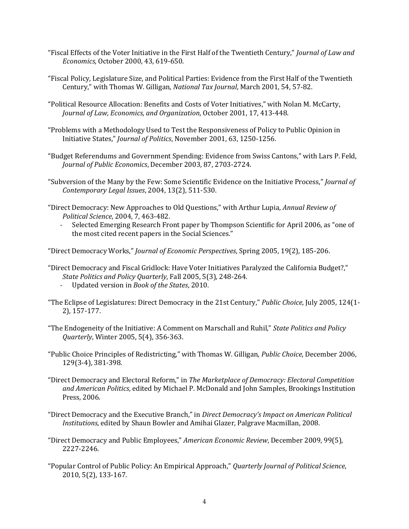- "Fiscal Effects of the Voter Initiative in the First Half of the Twentieth Century," *Journal of Law and Economics*, October 2000, 43, 619-650.
- "Fiscal Policy, Legislature Size, and Political Parties: Evidence from the First Half of the Twentieth Century," with Thomas W. Gilligan, *National Tax Journal*, March 2001, 54, 57-82.
- "Political Resource Allocation: Benefits and Costs of Voter Initiatives," with Nolan M. McCarty, *Journal of Law, Economics, and Organization*, October 2001, 17, 413-448.
- "Problems with a Methodology Used to Test the Responsiveness of Policy to Public Opinion in Initiative States," *Journal of Politics*, November 2001, 63, 1250-1256.
- "Budget Referendums and Government Spending: Evidence from Swiss Cantons," with Lars P. Feld, *Journal of Public Economics*, December 2003, 87, 2703-2724.

"Subversion of the Many by the Few: Some Scientific Evidence on the Initiative Process," *Journal of Contemporary Legal Issues*, 2004, 13(2), 511-530.

"Direct Democracy: New Approaches to Old Questions," with Arthur Lupia, *Annual Review of Political Science*, 2004, 7, 463-482.

- Selected Emerging Research Front paper by Thompson Scientific for April 2006, as "one of the most cited recent papers in the Social Sciences."

"Direct Democracy Works," *Journal of Economic Perspectives*, Spring 2005, 19(2), 185-206.

- "Direct Democracy and Fiscal Gridlock: Have Voter Initiatives Paralyzed the California Budget?," *State Politics and Policy Quarterly*, Fall 2005, 5(3), 248-264.
	- Updated version in *Book of the States*, 2010.
- "The Eclipse of Legislatures: Direct Democracy in the 21st Century," *Public Choice*, July 2005, 124(1- 2), 157-177.
- "The Endogeneity of the Initiative: A Comment on Marschall and Ruhil," *State Politics and Policy Quarterly*, Winter 2005, 5(4), 356-363.
- "Public Choice Principles of Redistricting," with Thomas W. Gilligan, *Public Choice*, December 2006, 129(3-4), 381-398.
- "Direct Democracy and Electoral Reform," in *The Marketplace of Democracy: Electoral Competition and American Politics*, edited by Michael P. McDonald and John Samples, Brookings Institution Press, 2006.
- "Direct Democracy and the Executive Branch," in *Direct Democracy's Impact on American Political Institutions*, edited by Shaun Bowler and Amihai Glazer, Palgrave Macmillan, 2008.
- "Direct Democracy and Public Employees," *American Economic Review*, December 2009, 99(5), 2227-2246.
- "Popular Control of Public Policy: An Empirical Approach," *Quarterly Journal of Political Science*, 2010, 5(2), 133-167.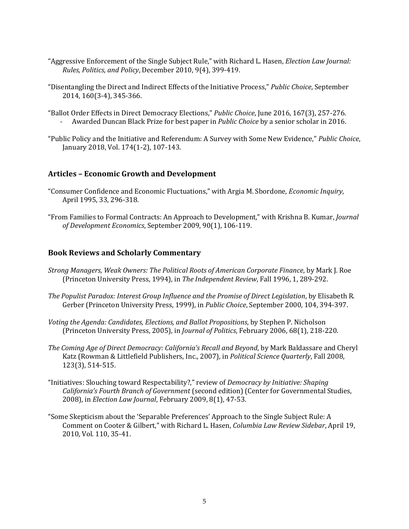- "Aggressive Enforcement of the Single Subject Rule," with Richard L. Hasen, *Election Law Journal: Rules, Politics, and Policy*, December 2010, 9(4), 399-419.
- "Disentangling the Direct and Indirect Effects of the Initiative Process," *Public Choice*, September 2014, 160(3-4), 345-366.
- "Ballot Order Effects in Direct Democracy Elections," *Public Choice*, June 2016, 167(3), 257-276. - Awarded Duncan Black Prize for best paper in *Public Choice* by a senior scholar in 2016.
- "Public Policy and the Initiative and Referendum: A Survey with Some New Evidence," *Public Choice*, January 2018, Vol. 174(1-2), 107-143.

## **Articles – Economic Growth and Development**

- "Consumer Confidence and Economic Fluctuations," with Argia M. Sbordone, *Economic Inquiry*, April 1995, 33, 296-318.
- "From Families to Formal Contracts: An Approach to Development," with Krishna B. Kumar, *Journal of Development Economics*, September 2009, 90(1), 106-119.

### **Book Reviews and Scholarly Commentary**

- *Strong Managers, Weak Owners: The Political Roots of American Corporate Finance*, by Mark J. Roe (Princeton University Press, 1994), in *The Independent Review*, Fall 1996, 1, 289-292.
- *The Populist Paradox: Interest Group Influence and the Promise of Direct Legislation*, by Elisabeth R. Gerber (Princeton University Press, 1999), in *Public Choice*, September 2000, 104, 394-397.
- *Voting the Agenda: Candidates, Elections, and Ballot Propositions*, by Stephen P. Nicholson (Princeton University Press, 2005), in *Journal of Politics*, February 2006, 68(1), 218-220.
- *The Coming Age of Direct Democracy: California's Recall and Beyond*, by Mark Baldassare and Cheryl Katz (Rowman & Littlefield Publishers, Inc., 2007), in *Political Science Quarterly*, Fall 2008, 123(3), 514-515.
- "Initiatives: Slouching toward Respectability?," review of *Democracy by Initiative: Shaping California's Fourth Branch of Government* (second edition) (Center for Governmental Studies, 2008), in *Election Law Journal*, February 2009, 8(1), 47-53.
- "Some Skepticism about the 'Separable Preferences' Approach to the Single Subject Rule: A Comment on Cooter & Gilbert," with Richard L. Hasen, *Columbia Law Review Sidebar*, April 19, 2010, Vol. 110, 35-41.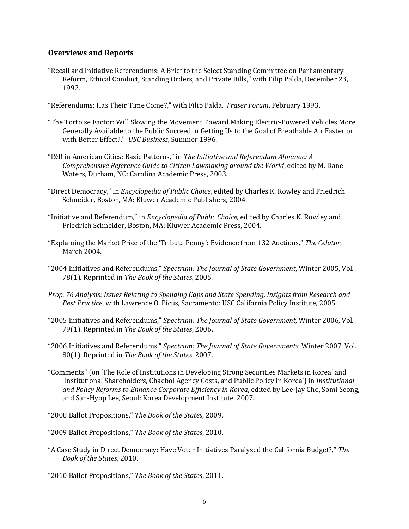## **Overviews and Reports**

- "Recall and Initiative Referendums: A Brief to the Select Standing Committee on Parliamentary Reform, Ethical Conduct, Standing Orders, and Private Bills," with Filip Palda, December 23, 1992.
- "Referendums: Has Their Time Come?," with Filip Palda, *Fraser Forum*, February 1993.
- "The Tortoise Factor: Will Slowing the Movement Toward Making Electric-Powered Vehicles More Generally Available to the Public Succeed in Getting Us to the Goal of Breathable Air Faster or with Better Effect?," *USC Business*, Summer 1996.
- "I&R in American Cities: Basic Patterns," in *The Initiative and Referendum Almanac: A Comprehensive Reference Guide to Citizen Lawmaking around the World*, edited by M. Dane Waters, Durham, NC: Carolina Academic Press, 2003.
- "Direct Democracy," in *Encyclopedia of Public Choice*, edited by Charles K. Rowley and Friedrich Schneider, Boston, MA: Kluwer Academic Publishers, 2004.
- "Initiative and Referendum," in *Encyclopedia of Public Choice*, edited by Charles K. Rowley and Friedrich Schneider, Boston, MA: Kluwer Academic Press, 2004.
- "Explaining the Market Price of the 'Tribute Penny': Evidence from 132 Auctions," *The Celator*, March 2004.
- "2004 Initiatives and Referendums," *Spectrum: The Journal of State Government*, Winter 2005, Vol. 78(1). Reprinted in *The Book of the States,* 2005.
- *Prop. 76 Analysis: Issues Relating to Spending Caps and State Spending, Insights from Research and Best Practice*, with Lawrence O. Picus, Sacramento: USC California Policy Institute, 2005.
- "2005 Initiatives and Referendums," *Spectrum: The Journal of State Government*, Winter 2006, Vol. 79(1). Reprinted in *The Book of the States*, 2006.
- "2006 Initiatives and Referendums," *Spectrum: The Journal of State Governments*, Winter 2007, Vol. 80(1). Reprinted in *The Book of the States*, 2007.
- "Comments" (on 'The Role of Institutions in Developing Strong Securities Markets in Korea' and 'Institutional Shareholders, Chaebol Agency Costs, and Public Policy in Korea') in *Institutional and Policy Reforms to Enhance Corporate Efficiency in Korea*, edited by Lee-Jay Cho, Somi Seong, and San-Hyop Lee, Seoul: Korea Development Institute, 2007.
- "2008 Ballot Propositions," *The Book of the States*, 2009.
- "2009 Ballot Propositions," *The Book of the States*, 2010.
- "A Case Study in Direct Democracy: Have Voter Initiatives Paralyzed the California Budget?," *The Book of the States*, 2010.
- "2010 Ballot Propositions," *The Book of the States*, 2011.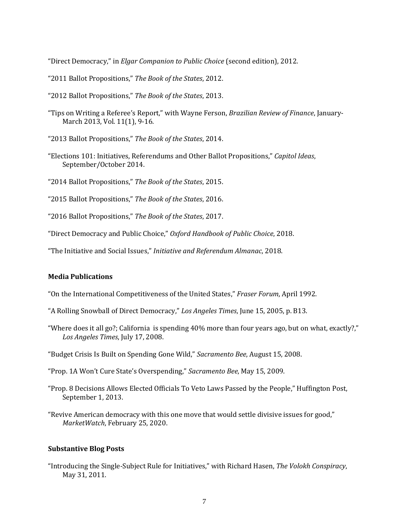"Direct Democracy," in *Elgar Companion to Public Choice* (second edition), 2012.

- "2011 Ballot Propositions," *The Book of the States*, 2012.
- "2012 Ballot Propositions," *The Book of the States*, 2013.
- "Tips on Writing a Referee's Report," with Wayne Ferson, *Brazilian Review of Finance*, January-March 2013, Vol. 11(1), 9-16.
- "2013 Ballot Propositions," *The Book of the States*, 2014.
- "Elections 101: Initiatives, Referendums and Other Ballot Propositions," *Capitol Ideas*, September/October 2014.
- "2014 Ballot Propositions," *The Book of the States*, 2015.
- "2015 Ballot Propositions," *The Book of the States*, 2016.
- "2016 Ballot Propositions," *The Book of the States*, 2017.
- "Direct Democracy and Public Choice," *Oxford Handbook of Public Choice*, 2018.
- "The Initiative and Social Issues," *Initiative and Referendum Almanac*, 2018.

#### **Media Publications**

- "On the International Competitiveness of the United States," *Fraser Forum*, April 1992.
- "A Rolling Snowball of Direct Democracy," *Los Angeles Times*, June 15, 2005, p. B13.
- "Where does it all go?; California is spending 40% more than four years ago, but on what, exactly?," *Los Angeles Times*, July 17, 2008.
- "Budget Crisis Is Built on Spending Gone Wild," *Sacramento Bee*, August 15, 2008.
- "Prop. 1A Won't Cure State's Overspending," *Sacramento Bee*, May 15, 2009.
- "Prop. 8 Decisions Allows Elected Officials To Veto Laws Passed by the People," Huffington Post, September 1, 2013.
- "Revive American democracy with this one move that would settle divisive issues for good," *MarketWatch*, February 25, 2020.

#### **Substantive Blog Posts**

"Introducing the Single-Subject Rule for Initiatives," with Richard Hasen, *The Volokh Conspiracy*, May 31, 2011.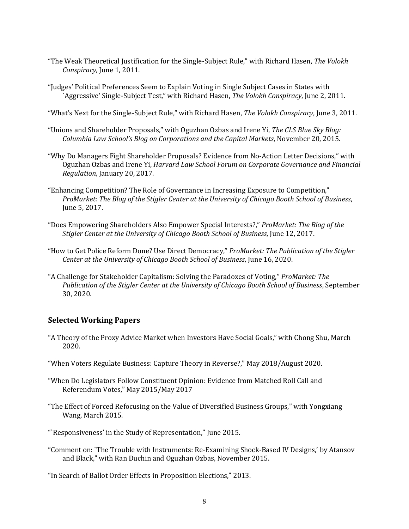- "The Weak Theoretical Justification for the Single-Subject Rule," with Richard Hasen, *The Volokh Conspiracy*, June 1, 2011.
- "Judges' Political Preferences Seem to Explain Voting in Single Subject Cases in States with `Aggressive' Single-Subject Test," with Richard Hasen, *The Volokh Conspiracy*, June 2, 2011.
- "What's Next for the Single-Subject Rule," with Richard Hasen, *The Volokh Conspiracy*, June 3, 2011.
- "Unions and Shareholder Proposals," with Oguzhan Ozbas and Irene Yi, *The CLS Blue Sky Blog: Columbia Law School's Blog on Corporations and the Capital Markets*, November 20, 2015.
- "Why Do Managers Fight Shareholder Proposals? Evidence from No-Action Letter Decisions," with Oguzhan Ozbas and Irene Yi, *Harvard Law School Forum on Corporate Governance and Financial Regulation*, January 20, 2017.
- "Enhancing Competition? The Role of Governance in Increasing Exposure to Competition," *ProMarket: The Blog of the Stigler Center at the University of Chicago Booth School of Business*, June 5, 2017.
- "Does Empowering Shareholders Also Empower Special Interests?," *ProMarket: The Blog of the Stigler Center at the University of Chicago Booth School of Business*, June 12, 2017.
- "How to Get Police Reform Done? Use Direct Democracy," *ProMarket: The Publication of the Stigler Center at the University of Chicago Booth School of Business*, June 16, 2020.
- "A Challenge for Stakeholder Capitalism: Solving the Paradoxes of Voting," *ProMarket: The Publication of the Stigler Center at the University of Chicago Booth School of Business*, September 30, 2020.

# **Selected Working Papers**

- "A Theory of the Proxy Advice Market when Investors Have Social Goals," with Chong Shu, March 2020.
- "When Voters Regulate Business: Capture Theory in Reverse?," May 2018/August 2020.
- "When Do Legislators Follow Constituent Opinion: Evidence from Matched Roll Call and Referendum Votes," May 2015/May 2017
- "The Effect of Forced Refocusing on the Value of Diversified Business Groups," with Yongxiang Wang, March 2015.
- "`Responsiveness' in the Study of Representation," June 2015.
- "Comment on: `The Trouble with Instruments: Re-Examining Shock-Based IV Designs,' by Atansov and Black," with Ran Duchin and Oguzhan Ozbas, November 2015.

"In Search of Ballot Order Effects in Proposition Elections," 2013.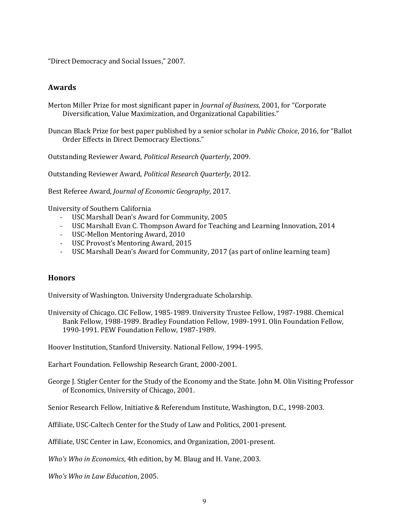"Direct Democracy and Social Issues," 2007.

### **Awards**

Merton Miller Prize for most significant paper in *Journal of Business*, 2001, for "Corporate Diversification, Value Maximization, and Organizational Capabilities."

Duncan Black Prize for best paper published by a senior scholar in *Public Choice*, 2016, for "Ballot Order Effects in Direct Democracy Elections."

Outstanding Reviewer Award, *Political Research Quarterly*, 2009.

Outstanding Reviewer Award, *Political Research Quarterly*, 2012.

Best Referee Award, *Journal of Economic Geography*, 2017.

University of Southern California

- USC Marshall Dean's Award for Community, 2005
- USC Marshall Evan C. Thompson Award for Teaching and Learning Innovation, 2014
- USC-Mellon Mentoring Award, 2010
- USC Provost's Mentoring Award, 2015
- USC Marshall Dean's Award for Community, 2017 (as part of online learning team)

#### **Honors**

University of Washington. University Undergraduate Scholarship.

University of Chicago. CIC Fellow, 1985-1989. University Trustee Fellow, 1987-1988. Chemical Bank Fellow, 1988-1989. Bradley Foundation Fellow, 1989-1991. Olin Foundation Fellow, 1990-1991. PEW Foundation Fellow, 1987-1989.

Hoover Institution, Stanford University. National Fellow, 1994-1995.

Earhart Foundation. Fellowship Research Grant, 2000-2001.

George J. Stigler Center for the Study of the Economy and the State. John M. Olin Visiting Professor of Economics, University of Chicago, 2001.

Senior Research Fellow, Initiative & Referendum Institute, Washington, D.C., 1998-2003.

Affiliate, USC-Caltech Center for the Study of Law and Politics, 2001-present.

Affiliate, USC Center in Law, Economics, and Organization, 2001-present.

*Who's Who in Economics*, 4th edition, by M. Blaug and H. Vane, 2003.

*Who's Who in Law Education*, 2005.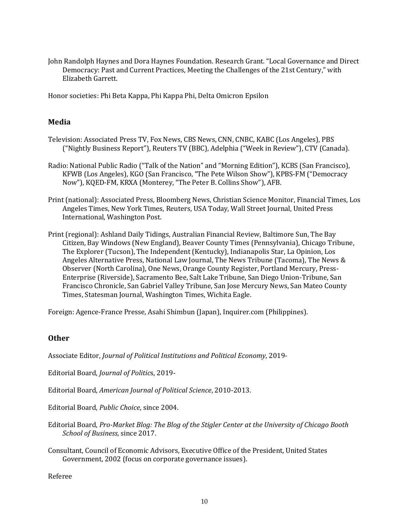John Randolph Haynes and Dora Haynes Foundation. Research Grant. "Local Governance and Direct Democracy: Past and Current Practices, Meeting the Challenges of the 21st Century," with Elizabeth Garrett.

Honor societies: Phi Beta Kappa, Phi Kappa Phi, Delta Omicron Epsilon

## **Media**

- Television: Associated Press TV, Fox News, CBS News, CNN, CNBC, KABC (Los Angeles), PBS ("Nightly Business Report"), Reuters TV (BBC), Adelphia ("Week in Review"), CTV (Canada).
- Radio: National Public Radio ("Talk of the Nation" and "Morning Edition"), KCBS (San Francisco), KFWB (Los Angeles), KGO (San Francisco, "The Pete Wilson Show"), KPBS-FM ("Democracy Now"), KQED-FM, KRXA (Monterey, "The Peter B. Collins Show"), AFB.
- Print (national): Associated Press, Bloomberg News, Christian Science Monitor, Financial Times, Los Angeles Times, New York Times, Reuters, USA Today, Wall Street Journal, United Press International, Washington Post.
- Print (regional): Ashland Daily Tidings, Australian Financial Review, Baltimore Sun, The Bay Citizen, Bay Windows (New England), Beaver County Times (Pennsylvania), Chicago Tribune, The Explorer (Tucson), The Independent (Kentucky), Indianapolis Star, La Opinion, Los Angeles Alternative Press, National Law Journal, The News Tribune (Tacoma), The News & Observer (North Carolina), One News, Orange County Register, Portland Mercury, Press-Enterprise (Riverside), Sacramento Bee, Salt Lake Tribune, San Diego Union-Tribune, San Francisco Chronicle, San Gabriel Valley Tribune, San Jose Mercury News, San Mateo County Times, Statesman Journal, Washington Times, Wichita Eagle.

Foreign: Agence-France Presse, Asahi Shimbun (Japan), Inquirer.com (Philippines).

## **Other**

Associate Editor, *Journal of Political Institutions and Political Economy*, 2019-

Editorial Board, *Journal of Politic*s, 2019-

Editorial Board, *American Journal of Political Science*, 2010-2013.

Editorial Board, *Public Choice*, since 2004.

- Editorial Board, *Pro-Market Blog: The Blog of the Stigler Center at the University of Chicago Booth School of Business*, since 2017.
- Consultant, Council of Economic Advisors, Executive Office of the President, United States Government, 2002 (focus on corporate governance issues).

Referee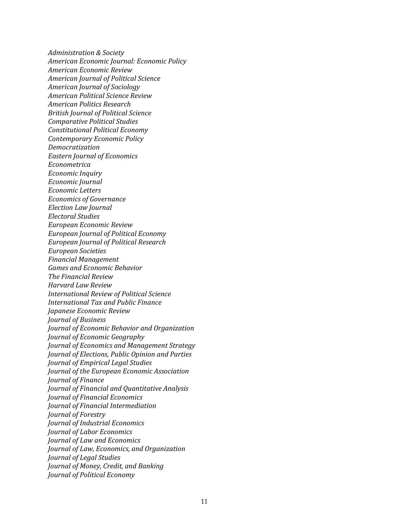*Administration & Society American Economic Journal: Economic Policy American Economic Review American Journal of Political Science American Journal of Sociology American Political Science Review American Politics Research British Journal of Political Science Comparative Political Studies Constitutional Political Economy Contemporary Economic Policy Democratization Eastern Journal of Economics Econometrica Economic Inquiry Economic Journal Economic Letters Economics of Governance Election Law Journal Electoral Studies European Economic Review European Journal of Political Economy European Journal of Political Research European Societies Financial Management Games and Economic Behavior The Financial Review Harvard Law Review International Review of Political Science International Tax and Public Finance Japanese Economic Review Journal of Business Journal of Economic Behavior and Organization Journal of Economic Geography Journal of Economics and Management Strategy Journal of Elections, Public Opinion and Parties Journal of Empirical Legal Studies Journal of the European Economic Association Journal of Finance Journal of Financial and Quantitative Analysis Journal of Financial Economics Journal of Financial Intermediation Journal of Forestry Journal of Industrial Economics Journal of Labor Economics Journal of Law and Economics Journal of Law, Economics, and Organization Journal of Legal Studies Journal of Money, Credit, and Banking Journal of Political Economy*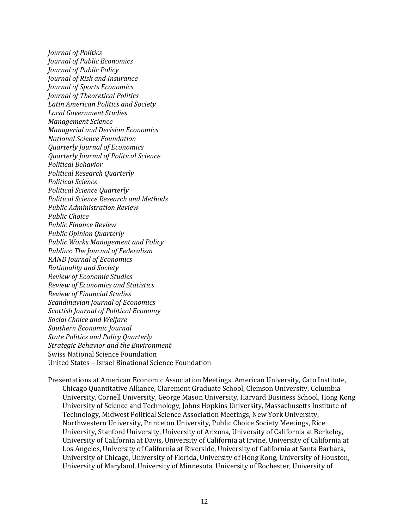*Journal of Politics Journal of Public Economics Journal of Public Policy Journal of Risk and Insurance Journal of Sports Economics Journal of Theoretical Politics Latin American Politics and Society Local Government Studies Management Science Managerial and Decision Economics National Science Foundation Quarterly Journal of Economics Quarterly Journal of Political Science Political Behavior Political Research Quarterly Political Science Political Science Quarterly Political Science Research and Methods Public Administration Review Public Choice Public Finance Review Public Opinion Quarterly Public Works Management and Policy Publius: The Journal of Federalism RAND Journal of Economics Rationality and Society Review of Economic Studies Review of Economics and Statistics Review of Financial Studies Scandinavian Journal of Economics Scottish Journal of Political Economy Social Choice and Welfare Southern Economic Journal State Politics and Policy Quarterly Strategic Behavior and the Environment* Swiss National Science Foundation United States – Israel Binational Science Foundation

Presentations at American Economic Association Meetings, American University, Cato Institute, Chicago Quantitative Alliance, Claremont Graduate School, Clemson University, Columbia University, Cornell University, George Mason University, Harvard Business School, Hong Kong University of Science and Technology, Johns Hopkins University, Massachusetts Institute of Technology, Midwest Political Science Association Meetings, New York University, Northwestern University, Princeton University, Public Choice Society Meetings, Rice University, Stanford University, University of Arizona, University of California at Berkeley, University of California at Davis, University of California at Irvine, University of California at Los Angeles, University of California at Riverside, University of California at Santa Barbara, University of Chicago, University of Florida, University of Hong Kong, University of Houston, University of Maryland, University of Minnesota, University of Rochester, University of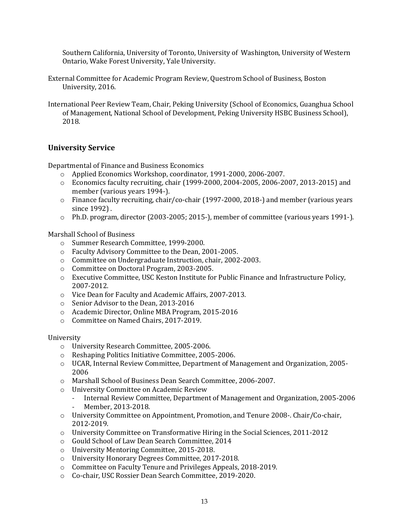Southern California, University of Toronto, University of Washington, University of Western Ontario, Wake Forest University, Yale University.

- External Committee for Academic Program Review, Questrom School of Business, Boston University, 2016.
- International Peer Review Team, Chair, Peking University (School of Economics, Guanghua School of Management, National School of Development, Peking University HSBC Business School), 2018.

# **University Service**

Departmental of Finance and Business Economics

- o Applied Economics Workshop, coordinator, 1991-2000, 2006-2007.
- $\circ$  Economics faculty recruiting, chair (1999-2000, 2004-2005, 2006-2007, 2013-2015) and member (various years 1994-).
- o Finance faculty recruiting, chair/co-chair (1997-2000, 2018-) and member (various years since 1992) .
- o Ph.D. program, director (2003-2005; 2015-), member of committee (various years 1991-).

#### Marshall School of Business

- o Summer Research Committee, 1999-2000.
- o Faculty Advisory Committee to the Dean, 2001-2005.
- o Committee on Undergraduate Instruction, chair, 2002-2003.
- o Committee on Doctoral Program, 2003-2005.
- o Executive Committee, USC Keston Institute for Public Finance and Infrastructure Policy, 2007-2012.
- o Vice Dean for Faculty and Academic Affairs, 2007-2013.
- o Senior Advisor to the Dean, 2013-2016
- o Academic Director, Online MBA Program, 2015-2016
- o Committee on Named Chairs, 2017-2019.

#### University

- o University Research Committee, 2005-2006.
- o Reshaping Politics Initiative Committee, 2005-2006.
- o UCAR, Internal Review Committee, Department of Management and Organization, 2005- 2006
- o Marshall School of Business Dean Search Committee, 2006-2007.
- o University Committee on Academic Review
	- Internal Review Committee, Department of Management and Organization, 2005-2006
	- Member, 2013-2018.
- o University Committee on Appointment, Promotion, and Tenure 2008-. Chair/Co-chair, 2012-2019.
- $\circ$  University Committee on Transformative Hiring in the Social Sciences, 2011-2012
- o Gould School of Law Dean Search Committee, 2014
- o University Mentoring Committee, 2015-2018.
- o University Honorary Degrees Committee, 2017-2018.
- o Committee on Faculty Tenure and Privileges Appeals, 2018-2019.
- o Co-chair, USC Rossier Dean Search Committee, 2019-2020.